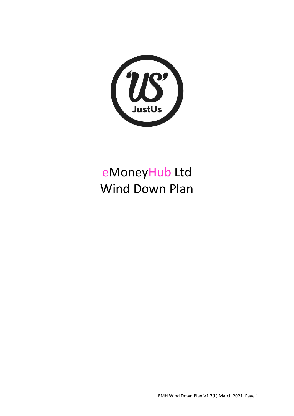

# eMoneyHub Ltd Wind Down Plan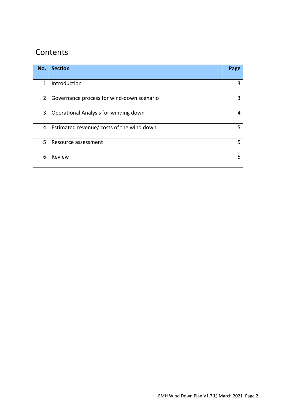## **Contents**

| No.            | <b>Section</b>                            | Page |
|----------------|-------------------------------------------|------|
| 1              | Introduction                              | 3    |
| $\overline{2}$ | Governance process for wind-down scenario | 3    |
| 3              | Operational Analysis for winding down     | 4    |
| 4              | Estimated revenue/ costs of the wind down | 5    |
| 5              | Resource assessment                       | 5    |
| 6              | Review                                    | 5    |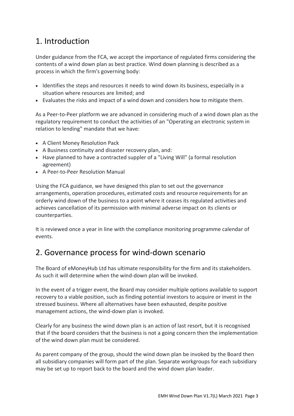## 1. Introduction

Under guidance from the FCA, we accept the importance of regulated firms considering the contents of a wind down plan as best practice. Wind down planning is described as a process in which the firm's governing body:

- Identifies the steps and resources it needs to wind down its business, especially in a situation where resources are limited; and
- Evaluates the risks and impact of a wind down and considers how to mitigate them.

As a Peer-to-Peer platform we are advanced in considering much of a wind down plan as the regulatory requirement to conduct the activities of an "Operating an electronic system in relation to lending" mandate that we have:

- A Client Money Resolution Pack
- A Business continuity and disaster recovery plan, and:
- Have planned to have a contracted suppler of a "Living Will" (a formal resolution agreement)
- A Peer-to-Peer Resolution Manual

Using the FCA guidance, we have designed this plan to set out the governance arrangements, operation procedures, estimated costs and resource requirements for an orderly wind down of the business to a point where it ceases its regulated activities and achieves cancellation of its permission with minimal adverse impact on its clients or counterparties.

It is reviewed once a year in line with the compliance monitoring programme calendar of events.

### 2. Governance process for wind-down scenario

The Board of eMoneyHub Ltd has ultimate responsibility for the firm and its stakeholders. As such it will determine when the wind-down plan will be invoked.

In the event of a trigger event, the Board may consider multiple options available to support recovery to a viable position, such as finding potential investors to acquire or invest in the stressed business. Where all alternatives have been exhausted, despite positive management actions, the wind-down plan is invoked.

Clearly for any business the wind down plan is an action of last resort, but it is recognised that if the board considers that the business is not a going concern then the implementation of the wind down plan must be considered.

As parent company of the group, should the wind down plan be invoked by the Board then all subsidiary companies will form part of the plan. Separate workgroups for each subsidiary may be set up to report back to the board and the wind down plan leader.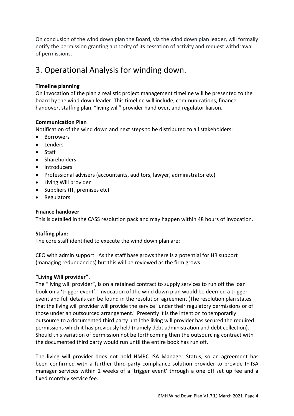On conclusion of the wind down plan the Board, via the wind down plan leader, will formally notify the permission granting authority of its cessation of activity and request withdrawal of permissions.

### 3. Operational Analysis for winding down.

#### **Timeline planning**

On invocation of the plan a realistic project management timeline will be presented to the board by the wind down leader. This timeline will include, communications, finance handover, staffing plan, "living will" provider hand over, and regulator liaison.

#### **Communication Plan**

Notification of the wind down and next steps to be distributed to all stakeholders:

- Borrowers
- Lenders
- Staff
- Shareholders
- Introducers
- Professional advisers (accountants, auditors, lawyer, administrator etc)
- Living Will provider
- Suppliers (IT, premises etc)
- Regulators

#### **Finance handover**

This is detailed in the CASS resolution pack and may happen within 48 hours of invocation.

#### **Staffing plan:**

The core staff identified to execute the wind down plan are:

CEO with admin support. As the staff base grows there is a potential for HR support (managing redundancies) but this will be reviewed as the firm grows.

#### **"Living Will provider".**

The "living will provider", is on a retained contract to supply services to run off the loan book on a 'trigger event'. Invocation of the wind down plan would be deemed a trigger event and full details can be found in the resolution agreement (The resolution plan states that the living will provider will provide the service "under their regulatory permissions or of those under an outsourced arrangement." Presently it is the intention to temporarily outsource to a documented third party until the living will provider has secured the required permissions which it has previously held (namely debt administration and debt collection). Should this variation of permission not be forthcoming then the outsourcing contract with the documented third party would run until the entire book has run off.

The living will provider does not hold HMRC ISA Manager Status, so an agreement has been confirmed with a further third-party compliance solution provider to provide IF-ISA manager services within 2 weeks of a 'trigger event' through a one off set up fee and a fixed monthly service fee.